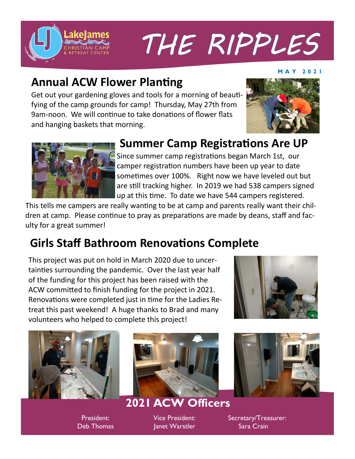

# THE RIPPLES

#### **M A Y 2 0 2 1**

#### **Annual ACW Flower Planting**

Get out your gardening gloves and tools for a morning of beautifying of the camp grounds for camp! Thursday, May 27th from 9am-noon. We will continue to take donations of flower flats and hanging baskets that morning.





#### **Summer Camp Registrations Are UP**

Since summer camp registrations began March 1st, our camper registration numbers have been up year to date sometimes over 100%. Right now we have leveled out but are still tracking higher. In 2019 we had 538 campers signed up at this time. To date we have 544 campers registered.

This tells me campers are really wanting to be at camp and parents really want their children at camp. Please continue to pray as preparations are made by deans, staff and faculty for a great summer!

### **Girls Staff Bathroom Renovations Complete**

This project was put on hold in March 2020 due to uncertainties surrounding the pandemic. Over the last year half of the funding for this project has been raised with the ACW committed to finish funding for the project in 2021. Renovations were completed just in time for the Ladies Retreat this past weekend! A huge thanks to Brad and many volunteers who helped to complete this project!





President: Deb Thomas



#### **2021 ACW Officers**

Vice President: Janet Warstler



Secretary/Treasurer: Sara Crain